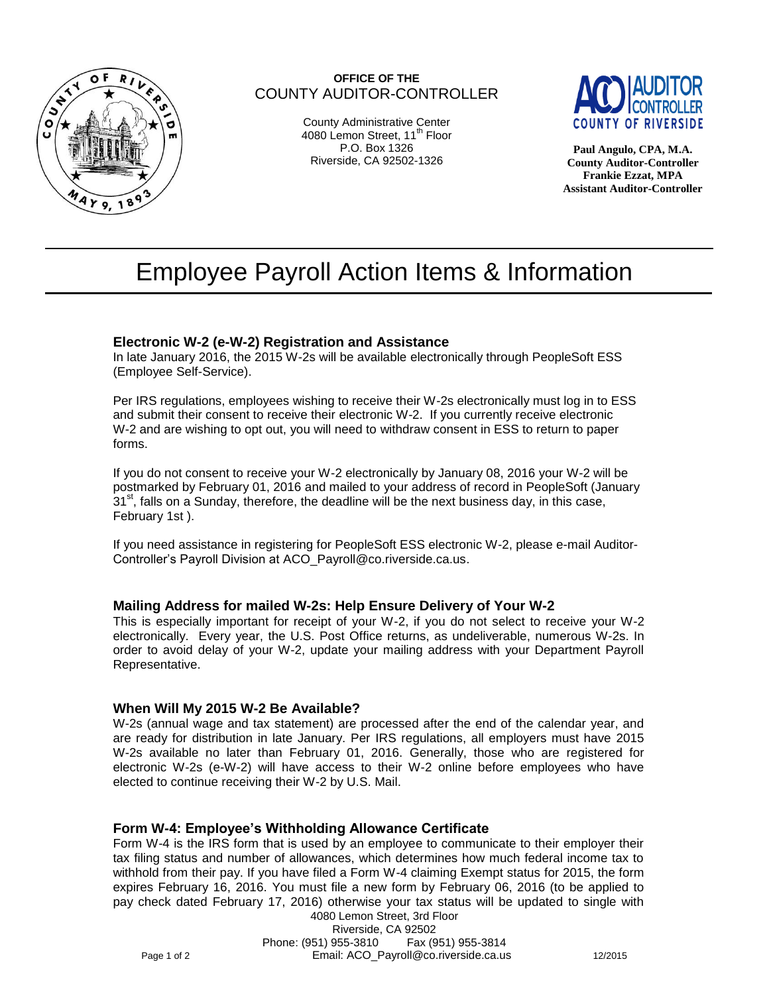

# **OFFICE OF THE** COUNTY AUDITOR-CONTROLLER

County Administrative Center 4080 Lemon Street, 11<sup>th</sup> Floor P.O. Box 1326 Riverside, CA 92502-1326



**Paul Angulo, CPA, M.A. County Auditor-Controller Frankie Ezzat, MPA Assistant Auditor-Controller**

# Employee Payroll Action Items & Information

# **Electronic W-2 (e-W-2) Registration and Assistance**

In late January 2016, the 2015 W-2s will be available electronically through PeopleSoft ESS (Employee Self-Service).

Per IRS regulations, employees wishing to receive their W-2s electronically must log in to ESS and submit their consent to receive their electronic W-2. If you currently receive electronic W-2 and are wishing to opt out, you will need to withdraw consent in ESS to return to paper forms.

If you do not consent to receive your W-2 electronically by January 08, 2016 your W-2 will be postmarked by February 01, 2016 and mailed to your address of record in PeopleSoft (January  $31<sup>st</sup>$ , falls on a Sunday, therefore, the deadline will be the next business day, in this case, February 1st ).

If you need assistance in registering for PeopleSoft ESS electronic W-2, please e-mail Auditor-Controller's Payroll Division at [ACO\\_Payroll@co.riverside.ca.us.](mailto:ACO_Payroll@co.riverside.ca.us)

## **Mailing Address for mailed W-2s: Help Ensure Delivery of Your W-2**

This is especially important for receipt of your W-2, if you do not select to receive your W-2 electronically. Every year, the U.S. Post Office returns, as undeliverable, numerous W-2s. In order to avoid delay of your W-2, update your mailing address with your Department Payroll Representative.

## **When Will My 2015 W-2 Be Available?**

W-2s (annual wage and tax statement) are processed after the end of the calendar year, and are ready for distribution in late January. Per IRS regulations, all employers must have 2015 W-2s available no later than February 01, 2016. Generally, those who are registered for electronic W-2s (e-W-2) will have access to their W-2 online before employees who have elected to continue receiving their W-2 by U.S. Mail.

## **Form W-4: Employee's Withholding Allowance Certificate**

Form W-4 is the IRS form that is used by an employee to communicate to their employer their tax filing status and number of allowances, which determines how much federal income tax to withhold from their pay. If you have filed a Form W-4 claiming Exempt status for 2015, the form expires February 16, 2016. You must file a new form by February 06, 2016 (to be applied to pay check dated February 17, 2016) otherwise your tax status will be updated to single with